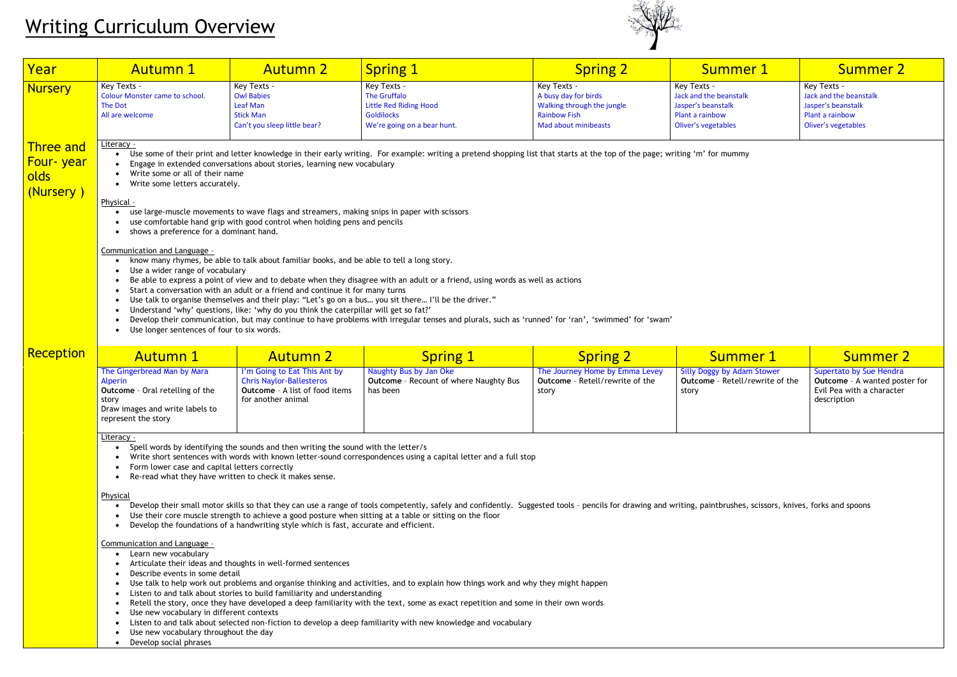| <u>Year</u>                                               | <b>Autumn 1</b>                                                                                                                                                                                                                                                                                                                                                                                                                                                                                                                                                                                                                                                                                                                                                                                                                                                                                                                                                                                                                                                                                                                                                                                                                                                                                                                                                        | <b>Autumn 2</b>                                                                                                                                                                                                                                                                                                                                                                   | Spring 1                                                                                                                                                                                                                                                                                                                                                                                                                                                                                                                                                                                                                                                                                                                                                                                                                                  | <b>Spring 2</b>                                                                                                  | <b>Summer 1</b>                                                                                       | <b>Summer 2</b>                                                                                             |
|-----------------------------------------------------------|------------------------------------------------------------------------------------------------------------------------------------------------------------------------------------------------------------------------------------------------------------------------------------------------------------------------------------------------------------------------------------------------------------------------------------------------------------------------------------------------------------------------------------------------------------------------------------------------------------------------------------------------------------------------------------------------------------------------------------------------------------------------------------------------------------------------------------------------------------------------------------------------------------------------------------------------------------------------------------------------------------------------------------------------------------------------------------------------------------------------------------------------------------------------------------------------------------------------------------------------------------------------------------------------------------------------------------------------------------------------|-----------------------------------------------------------------------------------------------------------------------------------------------------------------------------------------------------------------------------------------------------------------------------------------------------------------------------------------------------------------------------------|-------------------------------------------------------------------------------------------------------------------------------------------------------------------------------------------------------------------------------------------------------------------------------------------------------------------------------------------------------------------------------------------------------------------------------------------------------------------------------------------------------------------------------------------------------------------------------------------------------------------------------------------------------------------------------------------------------------------------------------------------------------------------------------------------------------------------------------------|------------------------------------------------------------------------------------------------------------------|-------------------------------------------------------------------------------------------------------|-------------------------------------------------------------------------------------------------------------|
| <b>Nursery</b>                                            | Key Texts -<br><b>Colour Monster came to school.</b><br>The Dot<br>All are welcome                                                                                                                                                                                                                                                                                                                                                                                                                                                                                                                                                                                                                                                                                                                                                                                                                                                                                                                                                                                                                                                                                                                                                                                                                                                                                     | Key Texts -<br><b>Owl Babies</b><br>Leaf Man<br><b>Stick Man</b><br>Can't you sleep little bear?                                                                                                                                                                                                                                                                                  | Key Texts -<br>The Gruffalo<br><b>Little Red Riding Hood</b><br><b>Goldilocks</b><br>We're going on a bear hunt.                                                                                                                                                                                                                                                                                                                                                                                                                                                                                                                                                                                                                                                                                                                          | Key Texts -<br>A busy day for birds<br>Walking through the jungle<br><b>Rainbow Fish</b><br>Mad about minibeasts | Key Texts -<br>Jack and the beanstalk<br>Jasper's beanstalk<br>Plant a rainbow<br>Oliver's vegetables | Key Texts -<br>Jack and the beanstalk<br>Jasper's beanstalk<br>Plant a rainbow<br>Oliver's vegetables       |
| <b>Three and</b><br>Four-year<br><b>olds</b><br>(Nursery) | Literacy -<br>Use some of their print and letter knowledge in their early writing. For example: writing a pretend shopping list that starts at the top of the page; writing 'm' for mummy<br>Engage in extended conversations about stories, learning new vocabulary<br>Write some or all of their name<br>Write some letters accurately.<br>Physical -<br>use large-muscle movements to wave flags and streamers, making snips in paper with scissors<br>use comfortable hand grip with good control when holding pens and pencils<br>shows a preference for a dominant hand.<br>Communication and Language -<br>know many rhymes, be able to talk about familiar books, and be able to tell a long story.<br>Use a wider range of vocabulary<br>Be able to express a point of view and to debate when they disagree with an adult or a friend, using words as well as actions<br>Start a conversation with an adult or a friend and continue it for many turns<br>Use talk to organise themselves and their play: "Let's go on a bus you sit there I'll be the driver."<br>Understand 'why' questions, like: 'why do you think the caterpillar will get so fat?'<br>Develop their communication, but may continue to have problems with irregular tenses and plurals, such as 'runned' for 'ran', 'swimmed' for 'swam'<br>Use longer sentences of four to six words. |                                                                                                                                                                                                                                                                                                                                                                                   |                                                                                                                                                                                                                                                                                                                                                                                                                                                                                                                                                                                                                                                                                                                                                                                                                                           |                                                                                                                  |                                                                                                       |                                                                                                             |
| Reception                                                 | <b>Autumn 1</b>                                                                                                                                                                                                                                                                                                                                                                                                                                                                                                                                                                                                                                                                                                                                                                                                                                                                                                                                                                                                                                                                                                                                                                                                                                                                                                                                                        | <b>Autumn 2</b>                                                                                                                                                                                                                                                                                                                                                                   | <b>Spring 1</b>                                                                                                                                                                                                                                                                                                                                                                                                                                                                                                                                                                                                                                                                                                                                                                                                                           | <b>Spring 2</b>                                                                                                  | <b>Summer 1</b>                                                                                       | <b>Summer 2</b>                                                                                             |
|                                                           | The Gingerbread Man by Mara<br>Alperin<br><b>Outcome</b> - Oral retelling of the<br>story<br>Draw images and write labels to<br>represent the story                                                                                                                                                                                                                                                                                                                                                                                                                                                                                                                                                                                                                                                                                                                                                                                                                                                                                                                                                                                                                                                                                                                                                                                                                    | I'm Going to Eat This Ant by<br><b>Chris Naylor-Ballesteros</b><br><b>Outcome</b> - A list of food items<br>for another animal                                                                                                                                                                                                                                                    | Naughty Bus by Jan Oke<br><b>Outcome</b> - Recount of where Naughty Bus<br>has been                                                                                                                                                                                                                                                                                                                                                                                                                                                                                                                                                                                                                                                                                                                                                       | The Journey Home by Emma Levey<br><b>Outcome</b> - Retell/rewrite of the<br>story                                | <b>Silly Doggy by Adam Stower</b><br><b>Outcome</b> - Retell/rewrite of the<br>story                  | Supertato by Sue Hendra<br><b>Outcome</b> - A wanted poster for<br>Evil Pea with a character<br>description |
|                                                           | <u>Literacy -</u><br>$\bullet$<br>Form lower case and capital letters correctly<br>Physical<br>Communication and Language -<br>• Learn new vocabulary<br>Describe events in some detail<br>Use new vocabulary in different contexts<br>Use new vocabulary throughout the day<br>Develop social phrases                                                                                                                                                                                                                                                                                                                                                                                                                                                                                                                                                                                                                                                                                                                                                                                                                                                                                                                                                                                                                                                                 | Spell words by identifying the sounds and then writing the sound with the letter/s<br>Re-read what they have written to check it makes sense.<br>Develop the foundations of a handwriting style which is fast, accurate and efficient.<br>Articulate their ideas and thoughts in well-formed sentences<br>Listen to and talk about stories to build familiarity and understanding | Write short sentences with words with known letter-sound correspondences using a capital letter and a full stop<br>Develop their small motor skills so that they can use a range of tools competently, safely and confidently. Suggested tools - pencils for drawing and writing, paintbrushes, scissors, knives, forks and spoons<br>Use their core muscle strength to achieve a good posture when sitting at a table or sitting on the floor<br>Use talk to help work out problems and organise thinking and activities, and to explain how things work and why they might happen<br>Retell the story, once they have developed a deep familiarity with the text, some as exact repetition and some in their own words<br>Listen to and talk about selected non-fiction to develop a deep familiarity with new knowledge and vocabulary |                                                                                                                  |                                                                                                       |                                                                                                             |

# Writing Curriculum Overview

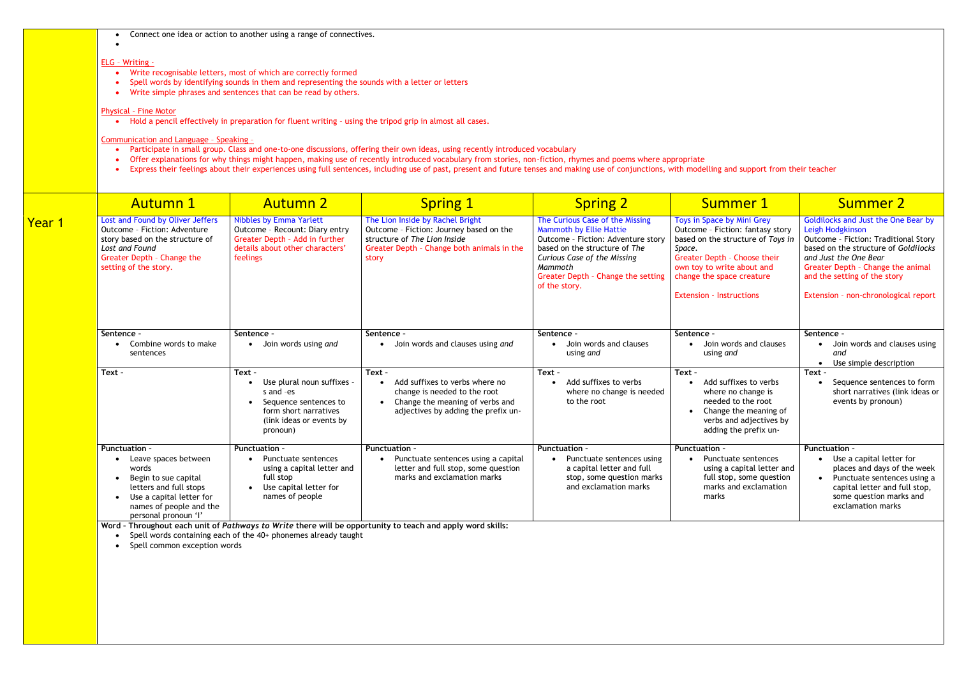Connect one idea or action to another using a range of connectives.

### ELG – Writing -

 $\bullet$ 

- Write recognisable letters, most of which are correctly formed
- Spell words by identifying sounds in them and representing the sounds with a letter or letters
- Write simple phrases and sentences that can be read by others.

- Participate in small group. Class and one-to-one discussions, offering their own ideas, using recently introduced vocabulary
- Offer explanations for why things might happen, making use of recently introduced vocabulary from stories, non-fiction, rhymes and poems where appropriate
- Express their feelings about their experiences using full sentences, including use of past, present and future tenses and making use of conjunctions, with modelling and support from their teacher

# Physical – Fine Motor

**•** Hold a pencil effectively in preparation for fluent writing - using the tripod grip in almost all cases.

## Communication and Language – Speaking –

|               | <b>Autumn 1</b>                                                                                                                                                                        | <b>Autumn 2</b>                                                                                                                                          | <b>Spring 1</b>                                                                                                                                                    | <b>Spring 2</b>                                                                                                                                                                                                                    | <b>Summer 1</b>                                                                                                                                                                                                                             | <b>Summer 2</b>                                                                                                                                                                                                                                                               |
|---------------|----------------------------------------------------------------------------------------------------------------------------------------------------------------------------------------|----------------------------------------------------------------------------------------------------------------------------------------------------------|--------------------------------------------------------------------------------------------------------------------------------------------------------------------|------------------------------------------------------------------------------------------------------------------------------------------------------------------------------------------------------------------------------------|---------------------------------------------------------------------------------------------------------------------------------------------------------------------------------------------------------------------------------------------|-------------------------------------------------------------------------------------------------------------------------------------------------------------------------------------------------------------------------------------------------------------------------------|
| <u>Year 1</u> | Lost and Found by Oliver Jeffers<br>Outcome - Fiction: Adventure<br>story based on the structure of<br>Lost and Found<br>Greater Depth - Change the<br>setting of the story.           | <b>Nibbles by Emma Yarlett</b><br>Outcome - Recount: Diary entry<br>Greater Depth - Add in further<br>details about other characters'<br>feelings        | The Lion Inside by Rachel Bright<br>Outcome - Fiction: Journey based on the<br>structure of The Lion Inside<br>Greater Depth - Change both animals in the<br>story | The Curious Case of the Missing<br>Mammoth by Ellie Hattie<br>Outcome - Fiction: Adventure story<br>based on the structure of The<br>Curious Case of the Missing<br>Mammoth<br>Greater Depth - Change the setting<br>of the story. | Toys in Space by Mini Grey<br>Outcome - Fiction: fantasy story<br>based on the structure of Toys in<br>Space.<br>Greater Depth - Choose their<br>own toy to write about and<br>change the space creature<br><b>Extension - Instructions</b> | Goldilocks and Just the One Bear by<br>Leigh Hodgkinson<br>Outcome - Fiction: Traditional Story<br>based on the structure of Goldilocks<br>and Just the One Bear<br>Greater Depth - Change the animal<br>and the setting of the story<br>Extension - non-chronological report |
|               | Sentence -                                                                                                                                                                             | Sentence -                                                                                                                                               | Sentence -                                                                                                                                                         | Sentence -                                                                                                                                                                                                                         | Sentence -                                                                                                                                                                                                                                  | Sentence -                                                                                                                                                                                                                                                                    |
|               | Combine words to make<br>sentences                                                                                                                                                     | Join words using and<br>$\bullet$                                                                                                                        | Join words and clauses using and                                                                                                                                   | Join words and clauses<br>using and                                                                                                                                                                                                | Join words and clauses<br>using and                                                                                                                                                                                                         | Join words and clauses using<br>and<br>Use simple description                                                                                                                                                                                                                 |
|               | Text -                                                                                                                                                                                 | Text -<br>Use plural noun suffixes -<br>s and -es<br>Sequence sentences to<br>$\bullet$<br>form short narratives<br>(link ideas or events by<br>pronoun) | Text -<br>Add suffixes to verbs where no<br>change is needed to the root<br>Change the meaning of verbs and<br>adjectives by adding the prefix un-                 | Text -<br>Add suffixes to verbs<br>where no change is needed<br>to the root                                                                                                                                                        | Text -<br>Add suffixes to verbs<br>where no change is<br>needed to the root<br>• Change the meaning of<br>verbs and adjectives by<br>adding the prefix un-                                                                                  | Text -<br>Sequence sentences to form<br>short narratives (link ideas or<br>events by pronoun)                                                                                                                                                                                 |
|               | <b>Punctuation -</b><br>Leave spaces between<br>words<br>Begin to sue capital<br>letters and full stops<br>Use a capital letter for<br>names of people and the<br>personal pronoun 'l' | <b>Punctuation -</b><br>Punctuate sentences<br>using a capital letter and<br>full stop<br>Use capital letter for<br>$\bullet$<br>names of people         | <b>Punctuation -</b><br>Punctuate sentences using a capital<br>letter and full stop, some question<br>marks and exclamation marks                                  | <b>Punctuation -</b><br>Punctuate sentences using<br>a capital letter and full<br>stop, some question marks<br>and exclamation marks                                                                                               | <b>Punctuation -</b><br>Punctuate sentences<br>using a capital letter and<br>full stop, some question<br>marks and exclamation<br>marks                                                                                                     | <b>Punctuation -</b><br>Use a capital letter for<br>places and days of the week<br>Punctuate sentences using a<br>capital letter and full stop,<br>some question marks and<br>exclamation marks                                                                               |

**Word – Throughout each unit of** *Pathways to Write* **there will be opportunity to teach and apply word skills:**

• Spell words containing each of the 40+ phonemes already taught

• Spell common exception words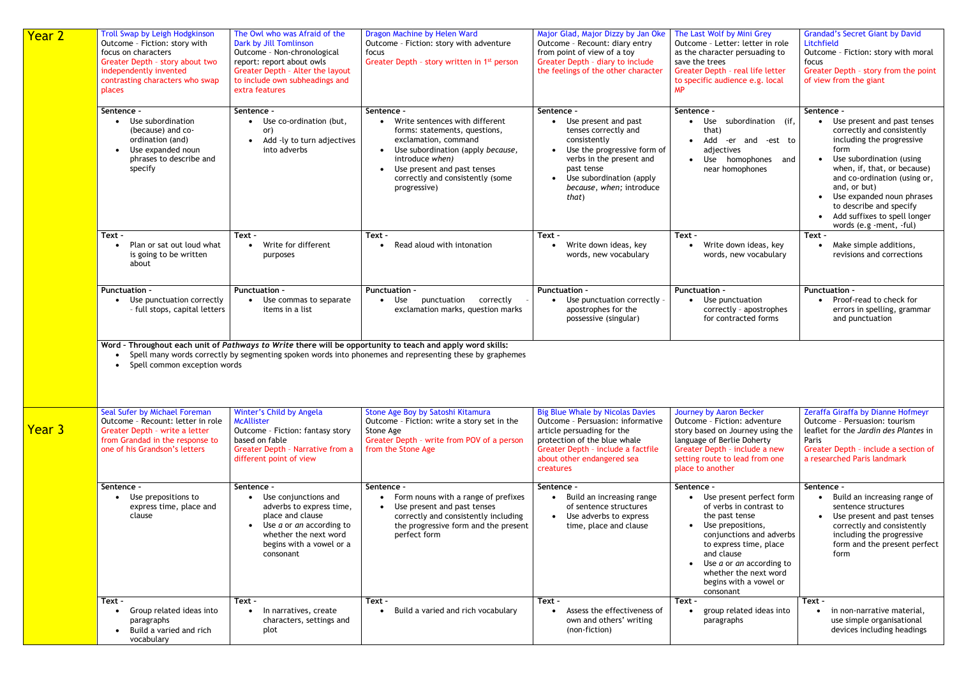| <b>Year 2</b> | <b>Troll Swap by Leigh Hodgkinson</b><br>Outcome - Fiction: story with<br>focus on characters<br>Greater Depth - story about two<br>independently invented<br>contrasting characters who swap<br>places | The Owl who was Afraid of the<br>Dark by Jill Tomlinson<br>Outcome - Non-chronological<br>report: report about owls<br>Greater Depth - Alter the layout<br>to include own subheadings and<br>extra features | Dragon Machine by Helen Ward<br>Outcome - Fiction: story with adventure<br>focus<br>Greater Depth - story written in 1 <sup>st</sup> person                                                                                                      | Major Glad, Major Dizzy by Jan Oke<br>Outcome - Recount: diary entry<br>from point of view of a toy<br>Greater Depth - diary to include<br>the feelings of the other character                                              | The Last Wolf by Mini Grey<br>Outcome - Letter: letter in role<br>as the character persuading to<br>save the trees<br>Greater Depth - real life letter<br>to specific audience e.g. local<br><b>MP</b>                                                                                              | <b>Grandad's Secret Giant by David</b><br>Litchfield<br>Outcome - Fiction: story with moral<br>focus<br>Greater Depth - story from the point<br>of view from the giant                                                                                                                                                                     |
|---------------|---------------------------------------------------------------------------------------------------------------------------------------------------------------------------------------------------------|-------------------------------------------------------------------------------------------------------------------------------------------------------------------------------------------------------------|--------------------------------------------------------------------------------------------------------------------------------------------------------------------------------------------------------------------------------------------------|-----------------------------------------------------------------------------------------------------------------------------------------------------------------------------------------------------------------------------|-----------------------------------------------------------------------------------------------------------------------------------------------------------------------------------------------------------------------------------------------------------------------------------------------------|--------------------------------------------------------------------------------------------------------------------------------------------------------------------------------------------------------------------------------------------------------------------------------------------------------------------------------------------|
|               | Sentence -<br>• Use subordination<br>(because) and co-<br>ordination (and)<br>Use expanded noun<br>phrases to describe and<br>specify                                                                   | Sentence -<br>• Use co-ordination (but,<br>or)<br>Add -ly to turn adjectives<br>$\bullet$<br>into adverbs                                                                                                   | Sentence -<br>Write sentences with different<br>forms: statements, questions,<br>exclamation, command<br>Use subordination (apply because,<br>introduce when)<br>Use present and past tenses<br>correctly and consistently (some<br>progressive) | Sentence -<br>Use present and past<br>tenses correctly and<br>consistently<br>Use the progressive form of<br>verbs in the present and<br>past tense<br>Use subordination (apply<br>because, when; introduce<br>that)        | Sentence -<br>Use subordination (if,<br>that)<br>Add -er and -est to<br>$\bullet$<br>adjectives<br>Use homophones and<br>near homophones                                                                                                                                                            | Sentence -<br>Use present and past tenses<br>correctly and consistently<br>including the progressive<br>form<br>Use subordination (using<br>when, if, that, or because)<br>and co-ordination (using or,<br>and, or but)<br>Use expanded noun phrases<br>to describe and specify<br>Add suffixes to spell longer<br>words (e.g -ment, -ful) |
|               | Text -<br>Plan or sat out loud what<br>is going to be written<br>about                                                                                                                                  | Text -<br>• Write for different<br>purposes                                                                                                                                                                 | Text -<br>Read aloud with intonation                                                                                                                                                                                                             | Text -<br>Write down ideas, key<br>words, new vocabulary                                                                                                                                                                    | Text -<br>Write down ideas, key<br>words, new vocabulary                                                                                                                                                                                                                                            | Text -<br>Make simple additions,<br>revisions and corrections                                                                                                                                                                                                                                                                              |
|               | <b>Punctuation -</b><br>• Use punctuation correctly<br>- full stops, capital letters                                                                                                                    | <b>Punctuation -</b><br>• Use commas to separate<br>items in a list                                                                                                                                         | <b>Punctuation -</b><br>Use<br>punctuation<br>correctly<br>$\bullet$<br>exclamation marks, question marks                                                                                                                                        | <b>Punctuation -</b><br>Use punctuation correctly -<br>apostrophes for the<br>possessive (singular)                                                                                                                         | <b>Punctuation -</b><br>Use punctuation<br>correctly - apostrophes<br>for contracted forms                                                                                                                                                                                                          | <b>Punctuation -</b><br>Proof-read to check for<br>errors in spelling, grammar<br>and punctuation                                                                                                                                                                                                                                          |
|               | Spell common exception words                                                                                                                                                                            |                                                                                                                                                                                                             | Word - Throughout each unit of Pathways to Write there will be opportunity to teach and apply word skills:<br>Spell many words correctly by segmenting spoken words into phonemes and representing these by graphemes                            |                                                                                                                                                                                                                             |                                                                                                                                                                                                                                                                                                     |                                                                                                                                                                                                                                                                                                                                            |
| Year 3        | Seal Sufer by Michael Foreman<br>Outcome - Recount: letter in role<br>Greater Depth - write a letter<br>from Grandad in the response to<br>one of his Grandson's letters                                | Winter's Child by Angela<br><b>McAllister</b><br>Outcome - Fiction: fantasy story<br>based on fable<br>Greater Depth - Narrative from a<br>different point of view                                          | Stone Age Boy by Satoshi Kitamura<br>Outcome - Fiction: write a story set in the<br>Stone Age<br>Greater Depth - write from POV of a person<br>from the Stone Age                                                                                | <b>Big Blue Whale by Nicolas Davies</b><br>Outcome - Persuasion: informative<br>article persuading for the<br>protection of the blue whale<br>Greater Depth - include a factfile<br>about other endangered sea<br>creatures | Journey by Aaron Becker<br>Outcome - Fiction: adventure<br>story based on Journey using the<br>language of Berlie Doherty<br>Greater Depth - include a new<br>setting route to lead from one<br>place to another                                                                                    | Zeraffa Giraffa by Dianne Hofmeyr<br>Outcome - Persuasion: tourism<br>leaflet for the Jardin des Plantes in<br>Paris<br>Greater Depth - include a section of<br>a researched Paris landmark                                                                                                                                                |
|               | Sentence -<br>Use prepositions to<br>express time, place and<br>clause                                                                                                                                  | Sentence -<br>Use conjunctions and<br>adverbs to express time,<br>place and clause<br>$\bullet$ Use <i>a</i> or <i>an</i> according to<br>whether the next word<br>begins with a vowel or a<br>consonant    | Sentence -<br>Form nouns with a range of prefixes<br>Use present and past tenses<br>correctly and consistently including<br>the progressive form and the present<br>perfect form                                                                 | Sentence -<br>Build an increasing range<br>of sentence structures<br>Use adverbs to express<br>$\bullet$<br>time, place and clause                                                                                          | Sentence -<br>Use present perfect form<br>of verbs in contrast to<br>the past tense<br>Use prepositions,<br>$\bullet$<br>conjunctions and adverbs<br>to express time, place<br>and clause<br>Use <i>a</i> or <i>an</i> according to<br>whether the next word<br>begins with a vowel or<br>consonant | Sentence -<br>Build an increasing range of<br>sentence structures<br>Use present and past tenses<br>correctly and consistently<br>including the progressive<br>form and the present perfect<br>form                                                                                                                                        |
|               | Text -<br>Group related ideas into<br>paragraphs<br>Build a varied and rich<br>vocabulary                                                                                                               | Text -<br>In narratives, create<br>characters, settings and<br>plot                                                                                                                                         | Text -<br>Build a varied and rich vocabulary                                                                                                                                                                                                     | Text -<br>Assess the effectiveness of<br>own and others' writing<br>(non-fiction)                                                                                                                                           | Text -<br>group related ideas into<br>paragraphs                                                                                                                                                                                                                                                    | Text -<br>in non-narrative material,<br>use simple organisational<br>devices including headings                                                                                                                                                                                                                                            |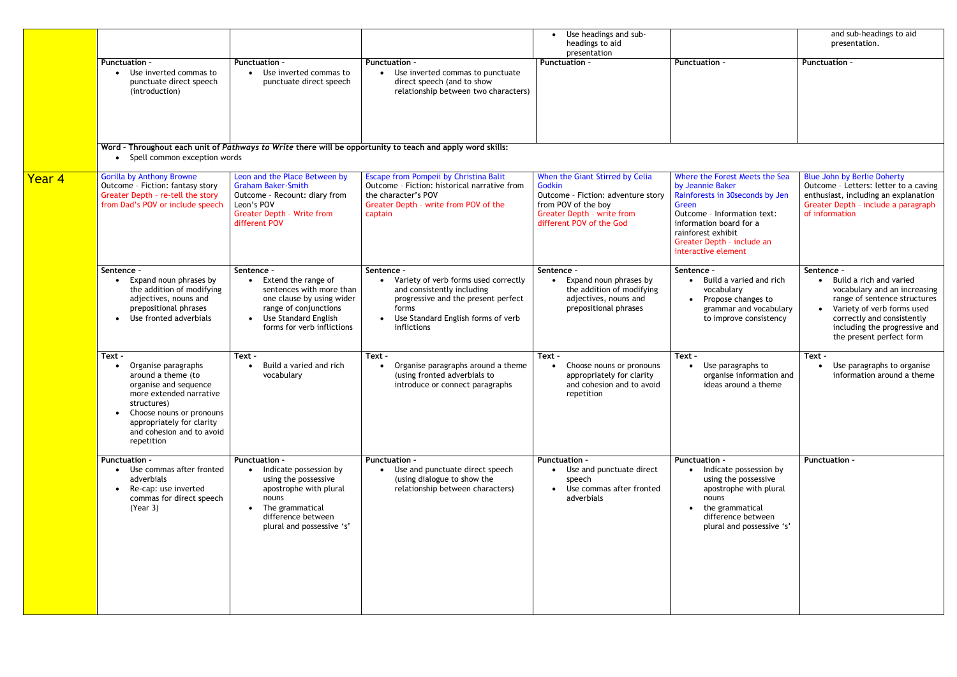|                                                                                                                                                                                                                              |                                                                                                                                                                                 |                                                                                                                                                                                       | Use headings and sub-<br>headings to aid                                                                                                                                |                                                                                                                                                                                                                                     | and sub-headings to aid<br>presentation.                                                                                                                                                                                                                 |
|------------------------------------------------------------------------------------------------------------------------------------------------------------------------------------------------------------------------------|---------------------------------------------------------------------------------------------------------------------------------------------------------------------------------|---------------------------------------------------------------------------------------------------------------------------------------------------------------------------------------|-------------------------------------------------------------------------------------------------------------------------------------------------------------------------|-------------------------------------------------------------------------------------------------------------------------------------------------------------------------------------------------------------------------------------|----------------------------------------------------------------------------------------------------------------------------------------------------------------------------------------------------------------------------------------------------------|
| Punctuation -<br>• Use inverted commas to<br>punctuate direct speech<br>(introduction)                                                                                                                                       | <b>Punctuation -</b><br>• Use inverted commas to<br>punctuate direct speech                                                                                                     | <b>Punctuation -</b><br>• Use inverted commas to punctuate<br>direct speech (and to show<br>relationship between two characters)                                                      | <b>Punctuation -</b>                                                                                                                                                    | <b>Punctuation -</b>                                                                                                                                                                                                                | Punctuation -                                                                                                                                                                                                                                            |
|                                                                                                                                                                                                                              |                                                                                                                                                                                 |                                                                                                                                                                                       |                                                                                                                                                                         |                                                                                                                                                                                                                                     |                                                                                                                                                                                                                                                          |
| <b>Gorilla by Anthony Browne</b><br>Outcome - Fiction: fantasy story<br>Greater Depth - re-tell the story<br>from Dad's POV or include speech                                                                                | Leon and the Place Between by<br><b>Graham Baker-Smith</b><br>Outcome - Recount: diary from<br>Leon's POV<br><b>Greater Depth - Write from</b><br>different POV                 | Escape from Pompeii by Christina Balit<br>Outcome - Fiction: historical narrative from<br>the character's POV<br>Greater Depth - write from POV of the<br>captain                     | When the Giant Stirred by Celia<br>Godkin<br>Outcome - Fiction: adventure story<br>from POV of the boy<br><b>Greater Depth - write from</b><br>different POV of the God | Where the Forest Meets the Sea<br>by Jeannie Baker<br>Rainforests in 30seconds by Jen<br>Green<br>Outcome - Information text:<br>information board for a<br>rainforest exhibit<br>Greater Depth - include an<br>interactive element | <b>Blue John by Berlie Doherty</b><br>Outcome - Letters: letter to a caving<br>enthusiast, including an explanation<br>Greater Depth - include a paragraph<br>of information                                                                             |
| Sentence -<br>Expand noun phrases by<br>$\bullet$<br>the addition of modifying<br>adjectives, nouns and<br>prepositional phrases<br>• Use fronted adverbials                                                                 | Sentence -<br>Extend the range of<br>sentences with more than<br>one clause by using wider<br>range of conjunctions<br>• Use Standard English<br>forms for verb inflictions     | Sentence -<br>Variety of verb forms used correctly<br>and consistently including<br>progressive and the present perfect<br>forms<br>Use Standard English forms of verb<br>inflictions | Sentence -<br>Expand noun phrases by<br>the addition of modifying<br>adjectives, nouns and<br>prepositional phrases                                                     | Sentence -<br>Build a varied and rich<br>vocabulary<br>Propose changes to<br>grammar and vocabulary<br>to improve consistency                                                                                                       | Sentence -<br>Build a rich and varied<br>$\bullet$<br>vocabulary and an increasing<br>range of sentence structures<br>Variety of verb forms used<br>$\bullet$<br>correctly and consistently<br>including the progressive and<br>the present perfect form |
| Text -<br>Organise paragraphs<br>around a theme (to<br>organise and sequence<br>more extended narrative<br>structures)<br>• Choose nouns or pronouns<br>appropriately for clarity<br>and cohesion and to avoid<br>repetition | Text -<br>Build a varied and rich<br>vocabulary                                                                                                                                 | Text -<br>Organise paragraphs around a theme<br>(using fronted adverbials to<br>introduce or connect paragraphs                                                                       | Text -<br>Choose nouns or pronouns<br>appropriately for clarity<br>and cohesion and to avoid<br>repetition                                                              | Text -<br>Use paragraphs to<br>organise information and<br>ideas around a theme                                                                                                                                                     | Text -<br>Use paragraphs to organise<br>information around a theme                                                                                                                                                                                       |
| <b>Punctuation -</b><br>• Use commas after fronted<br>adverbials<br>Re-cap: use inverted<br>commas for direct speech<br>(Year 3)                                                                                             | <b>Punctuation -</b><br>Indicate possession by<br>using the possessive<br>apostrophe with plural<br>nouns<br>The grammatical<br>difference between<br>plural and possessive 's' | <b>Punctuation -</b><br>• Use and punctuate direct speech<br>(using dialogue to show the<br>relationship between characters)                                                          | <b>Punctuation -</b><br>• Use and punctuate direct<br>speech<br>Use commas after fronted<br>adverbials                                                                  | <b>Punctuation -</b><br>• Indicate possession by<br>using the possessive<br>apostrophe with plural<br>nouns<br>the grammatical<br>difference between<br>plural and possessive 's'                                                   | <b>Punctuation -</b>                                                                                                                                                                                                                                     |
|                                                                                                                                                                                                                              |                                                                                                                                                                                 | Spell common exception words                                                                                                                                                          | Word - Throughout each unit of Pathways to Write there will be opportunity to teach and apply word skills:                                                              | presentation                                                                                                                                                                                                                        |                                                                                                                                                                                                                                                          |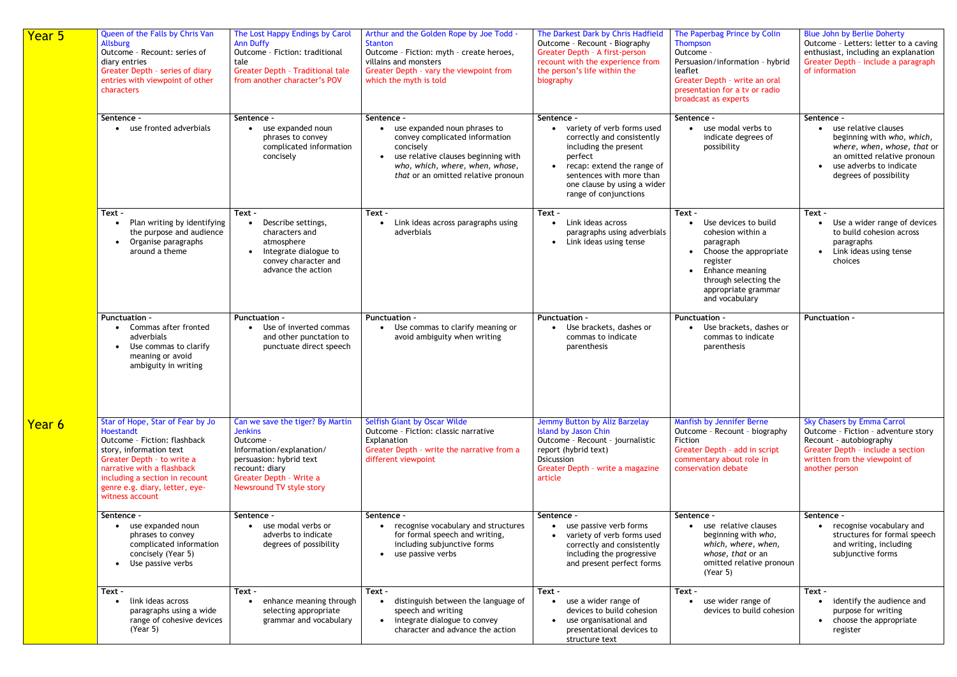| Year 5        | Queen of the Falls by Chris Van<br>Allsburg<br>Outcome - Recount: series of<br>diary entries<br>Greater Depth - series of diary<br>entries with viewpoint of other<br>characters                                                                            | The Lost Happy Endings by Carol<br><b>Ann Duffy</b><br>Outcome - Fiction: traditional<br>tale<br><b>Greater Depth - Traditional tale</b><br>from another character's POV                        | Arthur and the Golden Rope by Joe Todd -<br><b>Stanton</b><br>Outcome - Fiction: myth - create heroes,<br>villains and monsters<br>Greater Depth - vary the viewpoint from<br>which the myth is told | The Darkest Dark by Chris Hadfield<br>Outcome - Recount - Biography<br>Greater Depth - A first-person<br>recount with the experience from<br>the person's life within the<br>biography | The Paperbag Prince by Colin<br>Thompson<br>Outcome -<br>Persuasion/information - hybrid<br>leaflet<br>Greater Depth - write an oral<br>presentation for a tv or radio<br>broadcast as experts | <b>Blue John by Berlie Doherty</b><br>Outcome - Letters: letter to a caving<br>enthusiast, including an explanation<br>Greater Depth - include a paragraph<br>of information                |
|---------------|-------------------------------------------------------------------------------------------------------------------------------------------------------------------------------------------------------------------------------------------------------------|-------------------------------------------------------------------------------------------------------------------------------------------------------------------------------------------------|------------------------------------------------------------------------------------------------------------------------------------------------------------------------------------------------------|----------------------------------------------------------------------------------------------------------------------------------------------------------------------------------------|------------------------------------------------------------------------------------------------------------------------------------------------------------------------------------------------|---------------------------------------------------------------------------------------------------------------------------------------------------------------------------------------------|
|               | Sentence -<br>use fronted adverbials                                                                                                                                                                                                                        | Sentence -<br>use expanded noun                                                                                                                                                                 | Sentence -<br>• use expanded noun phrases to                                                                                                                                                         | Sentence -<br>• variety of verb forms used                                                                                                                                             | Sentence -<br>use modal verbs to                                                                                                                                                               | Sentence -<br>• use relative clauses                                                                                                                                                        |
|               |                                                                                                                                                                                                                                                             | phrases to convey<br>complicated information<br>concisely                                                                                                                                       | convey complicated information<br>concisely<br>use relative clauses beginning with<br>who, which, where, when, whose,<br>that or an omitted relative pronoun                                         | correctly and consistently<br>including the present<br>perfect<br>• recap: extend the range of<br>sentences with more than<br>one clause by using a wider<br>range of conjunctions     | indicate degrees of<br>possibility                                                                                                                                                             | beginning with who, which,<br>where, when, whose, that or<br>an omitted relative pronoun<br>use adverbs to indicate<br>degrees of possibility                                               |
|               | Text -<br>Plan writing by identifying<br>$\bullet$<br>the purpose and audience<br>Organise paragraphs<br>$\bullet$<br>around a theme                                                                                                                        | Text -<br>Describe settings,<br>characters and<br>atmosphere<br>• Integrate dialogue to<br>convey character and<br>advance the action                                                           | Text -<br>Link ideas across paragraphs using<br>adverbials                                                                                                                                           | Text -<br>Link ideas across<br>paragraphs using adverbials<br>• Link ideas using tense                                                                                                 | Text -<br>Use devices to build<br>cohesion within a<br>paragraph<br>• Choose the appropriate<br>register<br>Enhance meaning<br>through selecting the<br>appropriate grammar<br>and vocabulary  | Text -<br>Use a wider range of devices<br>to build cohesion across<br>paragraphs<br>Link ideas using tense<br>choices                                                                       |
|               | <b>Punctuation -</b><br>Commas after fronted<br>adverbials<br>Use commas to clarify<br>$\bullet$<br>meaning or avoid<br>ambiguity in writing                                                                                                                | <b>Punctuation -</b><br>Use of inverted commas<br>and other punctation to<br>punctuate direct speech                                                                                            | Punctuation -<br>• Use commas to clarify meaning or<br>avoid ambiguity when writing                                                                                                                  | <b>Punctuation -</b><br>Use brackets, dashes or<br>commas to indicate<br>parenthesis                                                                                                   | <b>Punctuation -</b><br>Use brackets, dashes or<br>commas to indicate<br>parenthesis                                                                                                           | Punctuation -                                                                                                                                                                               |
| <u>Year 6</u> | Star of Hope, Star of Fear by Jo<br>Hoestandt<br>Outcome - Fiction: flashback<br>story, information text<br>Greater Depth - to write a<br>narrative with a flashback<br>including a section in recount<br>genre e.g. diary, letter, eye-<br>witness account | Can we save the tiger? By Martin<br><b>Jenkins</b><br>Outcome -<br>Information/explanation/<br>persuasion: hybrid text<br>recount: diary<br>Greater Depth - Write a<br>Newsround TV style story | Selfish Giant by Oscar Wilde<br>Outcome - Fiction: classic narrative<br>Explanation<br>Greater Depth - write the narrative from a<br>different viewpoint                                             | Jemmy Button by Aliz Barzelay<br>Island by Jason Chin<br>Outcome - Recount - journalistic<br>report (hybrid text)<br>Dsicussion<br>Greater Depth - write a magazine<br>article         | Manfish by Jennifer Berne<br>Outcome - Recount - biography<br>Fiction<br>Greater Depth - add in script<br>commentary about role in<br>conservation debate                                      | <b>Sky Chasers by Emma Carrol</b><br>Outcome - Fiction - adventure story<br>Recount - autobiography<br>Greater Depth - include a section<br>written from the viewpoint of<br>another person |
|               | Sentence -                                                                                                                                                                                                                                                  | Sentence -                                                                                                                                                                                      | Sentence -                                                                                                                                                                                           | Sentence -                                                                                                                                                                             | Sentence -                                                                                                                                                                                     | Sentence -                                                                                                                                                                                  |
|               | use expanded noun<br>phrases to convey<br>complicated information<br>concisely (Year 5)<br>Use passive verbs<br>$\bullet$                                                                                                                                   | use modal verbs or<br>adverbs to indicate<br>degrees of possibility                                                                                                                             | recognise vocabulary and structures<br>for formal speech and writing,<br>including subjunctive forms<br>• use passive verbs                                                                          | use passive verb forms<br>• variety of verb forms used<br>correctly and consistently<br>including the progressive<br>and present perfect forms                                         | use relative clauses<br>beginning with who,<br>which, where, when,<br>whose, that or an<br>omitted relative pronoun<br>(Year 5)                                                                | recognise vocabulary and<br>structures for formal speech<br>and writing, including<br>subjunctive forms                                                                                     |
|               | Text -<br>link ideas across<br>$\bullet$<br>paragraphs using a wide<br>range of cohesive devices<br>(Year 5)                                                                                                                                                | Text -<br>enhance meaning through<br>selecting appropriate<br>grammar and vocabulary                                                                                                            | Text -<br>distinguish between the language of<br>speech and writing<br>• integrate dialogue to convey<br>character and advance the action                                                            | Text -<br>use a wider range of<br>devices to build cohesion<br>use organisational and<br>presentational devices to<br>structure text                                                   | Text -<br>use wider range of<br>devices to build cohesion                                                                                                                                      | Text -<br>identify the audience and<br>purpose for writing<br>• choose the appropriate<br>register                                                                                          |